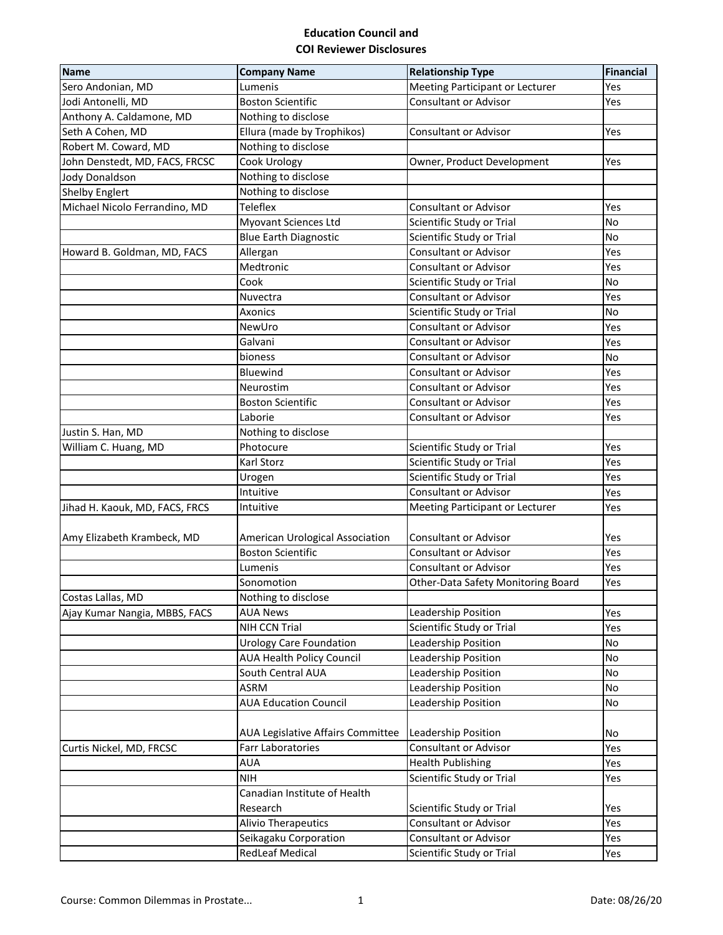## **Education Council and COI Reviewer Disclosures**

| <b>Name</b>                    | <b>Company Name</b>               | <b>Relationship Type</b>           | <b>Financial</b> |
|--------------------------------|-----------------------------------|------------------------------------|------------------|
| Sero Andonian, MD              | Lumenis                           | Meeting Participant or Lecturer    | Yes              |
| Jodi Antonelli, MD             | <b>Boston Scientific</b>          | <b>Consultant or Advisor</b>       | Yes              |
| Anthony A. Caldamone, MD       | Nothing to disclose               |                                    |                  |
| Seth A Cohen, MD               | Ellura (made by Trophikos)        | <b>Consultant or Advisor</b>       | Yes              |
| Robert M. Coward, MD           | Nothing to disclose               |                                    |                  |
| John Denstedt, MD, FACS, FRCSC | Cook Urology                      | Owner, Product Development         | Yes              |
| <b>Jody Donaldson</b>          | Nothing to disclose               |                                    |                  |
| <b>Shelby Englert</b>          | Nothing to disclose               |                                    |                  |
| Michael Nicolo Ferrandino, MD  | <b>Teleflex</b>                   | <b>Consultant or Advisor</b>       | Yes              |
|                                | <b>Myovant Sciences Ltd</b>       | Scientific Study or Trial          | <b>No</b>        |
|                                | <b>Blue Earth Diagnostic</b>      | Scientific Study or Trial          | <b>No</b>        |
| Howard B. Goldman, MD, FACS    | Allergan                          | <b>Consultant or Advisor</b>       | Yes              |
|                                | Medtronic                         | <b>Consultant or Advisor</b>       | Yes              |
|                                | Cook                              | Scientific Study or Trial          | No               |
|                                | Nuvectra                          | <b>Consultant or Advisor</b>       | Yes              |
|                                | Axonics                           | Scientific Study or Trial          | No               |
|                                | NewUro                            | <b>Consultant or Advisor</b>       | Yes              |
|                                | Galvani                           | <b>Consultant or Advisor</b>       | Yes              |
|                                | bioness                           | <b>Consultant or Advisor</b>       | <b>No</b>        |
|                                | Bluewind                          | <b>Consultant or Advisor</b>       | Yes              |
|                                | Neurostim                         | <b>Consultant or Advisor</b>       | Yes              |
|                                | <b>Boston Scientific</b>          | <b>Consultant or Advisor</b>       | Yes              |
|                                | Laborie                           | <b>Consultant or Advisor</b>       | Yes              |
| Justin S. Han, MD              | Nothing to disclose               |                                    |                  |
| William C. Huang, MD           | Photocure                         | Scientific Study or Trial          | Yes              |
|                                | Karl Storz                        | Scientific Study or Trial          | Yes              |
|                                | Urogen                            | Scientific Study or Trial          | Yes              |
|                                | Intuitive                         | <b>Consultant or Advisor</b>       | Yes              |
| Jihad H. Kaouk, MD, FACS, FRCS | Intuitive                         | Meeting Participant or Lecturer    | Yes              |
|                                |                                   |                                    |                  |
| Amy Elizabeth Krambeck, MD     | American Urological Association   | <b>Consultant or Advisor</b>       | Yes              |
|                                | <b>Boston Scientific</b>          | <b>Consultant or Advisor</b>       | Yes              |
|                                | Lumenis                           | <b>Consultant or Advisor</b>       | Yes              |
|                                | Sonomotion                        | Other-Data Safety Monitoring Board | Yes              |
| Costas Lallas, MD              | Nothing to disclose               |                                    |                  |
| Ajay Kumar Nangia, MBBS, FACS  | <b>AUA News</b>                   | Leadership Position                | Yes              |
|                                | NIH CCN Trial                     | Scientific Study or Trial          | Yes              |
|                                | <b>Urology Care Foundation</b>    | Leadership Position                | <b>No</b>        |
|                                | <b>AUA Health Policy Council</b>  | Leadership Position                | No               |
|                                | South Central AUA                 | Leadership Position                | No               |
|                                | <b>ASRM</b>                       | Leadership Position                | No               |
|                                | <b>AUA Education Council</b>      | Leadership Position                | No               |
|                                |                                   |                                    |                  |
|                                | AUA Legislative Affairs Committee | Leadership Position                | No               |
| Curtis Nickel, MD, FRCSC       | <b>Farr Laboratories</b>          | <b>Consultant or Advisor</b>       | Yes              |
|                                | <b>AUA</b>                        | <b>Health Publishing</b>           | Yes              |
|                                | <b>NIH</b>                        | Scientific Study or Trial          | Yes              |
|                                | Canadian Institute of Health      |                                    |                  |
|                                | Research                          |                                    |                  |
|                                |                                   | Scientific Study or Trial          | Yes<br>Yes       |
|                                | <b>Alivio Therapeutics</b>        | <b>Consultant or Advisor</b>       |                  |
|                                | Seikagaku Corporation             | Consultant or Advisor              | Yes              |
|                                | <b>RedLeaf Medical</b>            | Scientific Study or Trial          | Yes              |